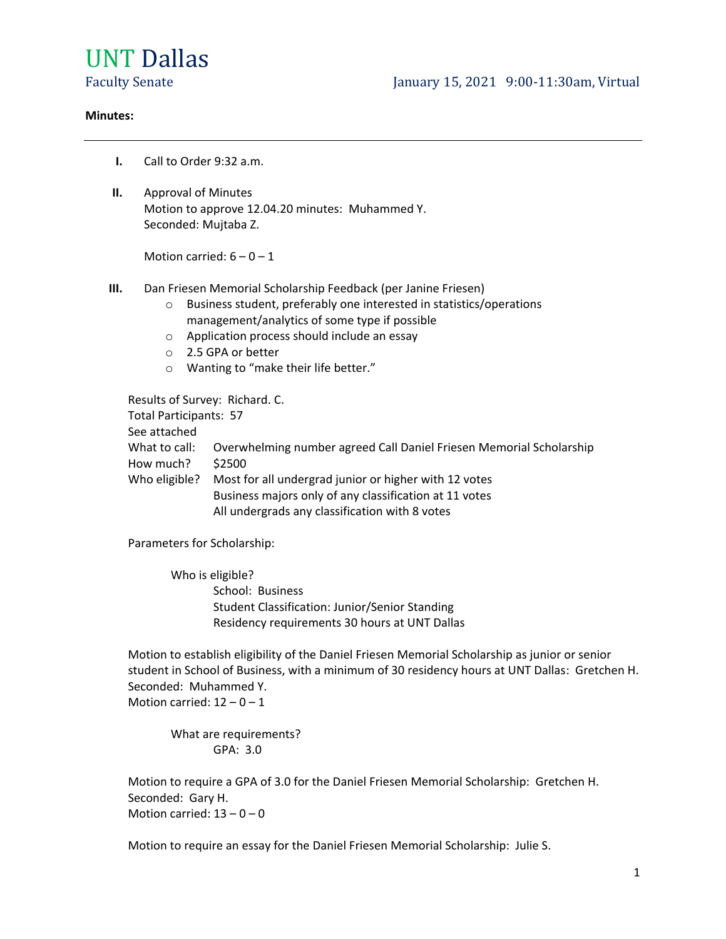# UNT Dallas

#### **Minutes:**

- **I.** Call to Order 9:32 a.m.
- **II.** Approval of Minutes Motion to approve 12.04.20 minutes: Muhammed Y. Seconded: Mujtaba Z.

Motion carried:  $6 - 0 - 1$ 

- **III.** Dan Friesen Memorial Scholarship Feedback (per Janine Friesen)
	- o Business student, preferably one interested in statistics/operations management/analytics of some type if possible
	- o Application process should include an essay
	- o 2.5 GPA or better
	- o Wanting to "make their life better."

Results of Survey: Richard. C. Total Participants: 57 See attached What to call: Overwhelming number agreed Call Daniel Friesen Memorial Scholarship How much? \$2500 Who eligible? Most for all undergrad junior or higher with 12 votes Business majors only of any classification at 11 votes All undergrads any classification with 8 votes

Parameters for Scholarship:

Who is eligible? School: Business Student Classification: Junior/Senior Standing Residency requirements 30 hours at UNT Dallas

Motion to establish eligibility of the Daniel Friesen Memorial Scholarship as junior or senior student in School of Business, with a minimum of 30 residency hours at UNT Dallas: Gretchen H. Seconded: Muhammed Y. Motion carried:  $12 - 0 - 1$ 

What are requirements? GPA: 3.0

Motion to require a GPA of 3.0 for the Daniel Friesen Memorial Scholarship: Gretchen H. Seconded: Gary H. Motion carried:  $13 - 0 - 0$ 

Motion to require an essay for the Daniel Friesen Memorial Scholarship: Julie S.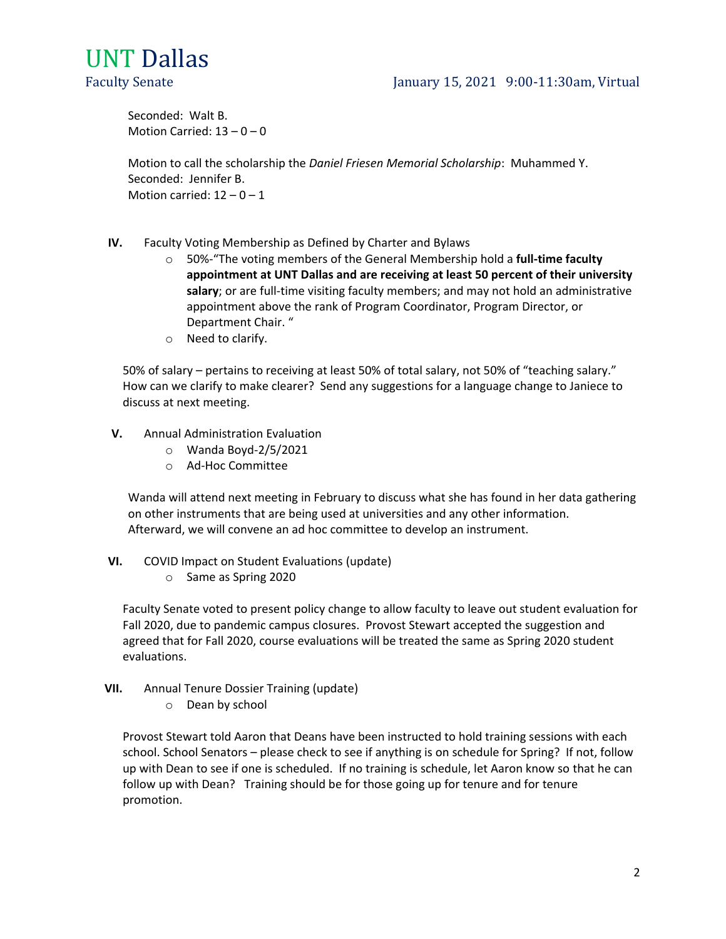# UNT Dallas

# Faculty Senate January 15, 2021 9:00-11:30am, Virtual

Seconded: Walt B. Motion Carried:  $13 - 0 - 0$ 

Motion to call the scholarship the *Daniel Friesen Memorial Scholarship*: Muhammed Y. Seconded: Jennifer B. Motion carried:  $12 - 0 - 1$ 

- **IV.** Faculty Voting Membership as Defined by Charter and Bylaws
	- o 50%-"The voting members of the General Membership hold a **full-time faculty appointment at UNT Dallas and are receiving at least 50 percent of their university salary**; or are full-time visiting faculty members; and may not hold an administrative appointment above the rank of Program Coordinator, Program Director, or Department Chair. "
	- o Need to clarify.

50% of salary – pertains to receiving at least 50% of total salary, not 50% of "teaching salary." How can we clarify to make clearer? Send any suggestions for a language change to Janiece to discuss at next meeting.

- **V.** Annual Administration Evaluation
	- o Wanda Boyd-2/5/2021
	- o Ad-Hoc Committee

Wanda will attend next meeting in February to discuss what she has found in her data gathering on other instruments that are being used at universities and any other information. Afterward, we will convene an ad hoc committee to develop an instrument.

- **VI.** COVID Impact on Student Evaluations (update)
	- o Same as Spring 2020

Faculty Senate voted to present policy change to allow faculty to leave out student evaluation for Fall 2020, due to pandemic campus closures. Provost Stewart accepted the suggestion and agreed that for Fall 2020, course evaluations will be treated the same as Spring 2020 student evaluations.

- **VII.** Annual Tenure Dossier Training (update)
	- o Dean by school

Provost Stewart told Aaron that Deans have been instructed to hold training sessions with each school. School Senators – please check to see if anything is on schedule for Spring? If not, follow up with Dean to see if one is scheduled. If no training is schedule, let Aaron know so that he can follow up with Dean? Training should be for those going up for tenure and for tenure promotion.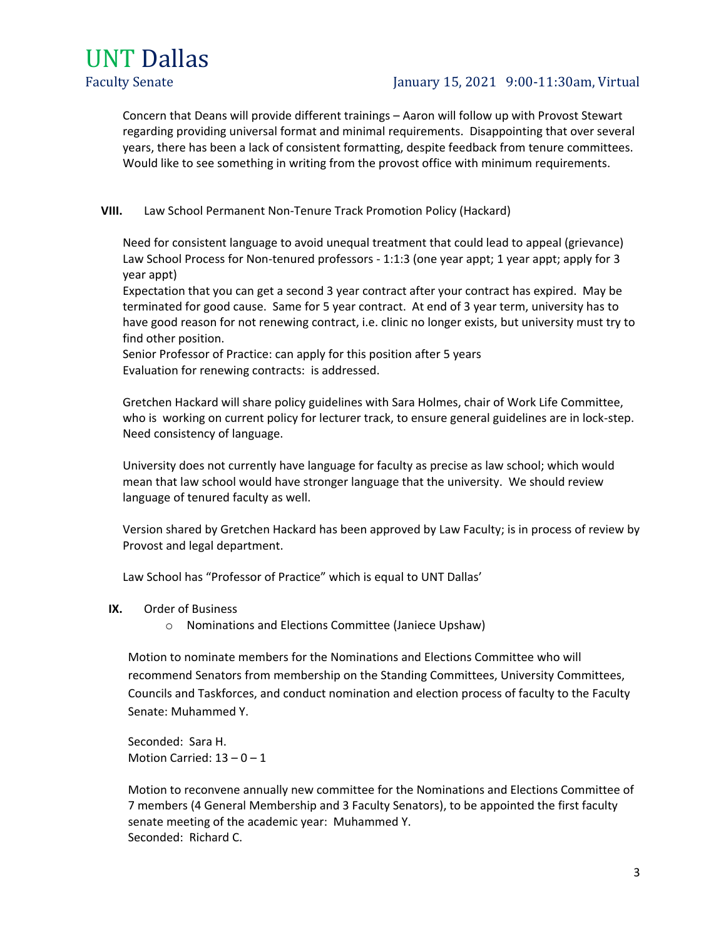

## Faculty Senate January 15, 2021 9:00-11:30am, Virtual

Concern that Deans will provide different trainings – Aaron will follow up with Provost Stewart regarding providing universal format and minimal requirements. Disappointing that over several years, there has been a lack of consistent formatting, despite feedback from tenure committees. Would like to see something in writing from the provost office with minimum requirements.

#### **VIII.** Law School Permanent Non-Tenure Track Promotion Policy (Hackard)

Need for consistent language to avoid unequal treatment that could lead to appeal (grievance) Law School Process for Non-tenured professors - 1:1:3 (one year appt; 1 year appt; apply for 3 year appt)

Expectation that you can get a second 3 year contract after your contract has expired. May be terminated for good cause. Same for 5 year contract. At end of 3 year term, university has to have good reason for not renewing contract, i.e. clinic no longer exists, but university must try to find other position.

Senior Professor of Practice: can apply for this position after 5 years Evaluation for renewing contracts: is addressed.

Gretchen Hackard will share policy guidelines with Sara Holmes, chair of Work Life Committee, who is working on current policy for lecturer track, to ensure general guidelines are in lock-step. Need consistency of language.

University does not currently have language for faculty as precise as law school; which would mean that law school would have stronger language that the university. We should review language of tenured faculty as well.

Version shared by Gretchen Hackard has been approved by Law Faculty; is in process of review by Provost and legal department.

Law School has "Professor of Practice" which is equal to UNT Dallas'

- **IX.** Order of Business
	- o Nominations and Elections Committee (Janiece Upshaw)

Motion to nominate members for the Nominations and Elections Committee who will recommend Senators from membership on the Standing Committees, University Committees, Councils and Taskforces, and conduct nomination and election process of faculty to the Faculty Senate: Muhammed Y.

Seconded: Sara H. Motion Carried:  $13 - 0 - 1$ 

Motion to reconvene annually new committee for the Nominations and Elections Committee of 7 members (4 General Membership and 3 Faculty Senators), to be appointed the first faculty senate meeting of the academic year: Muhammed Y. Seconded: Richard C.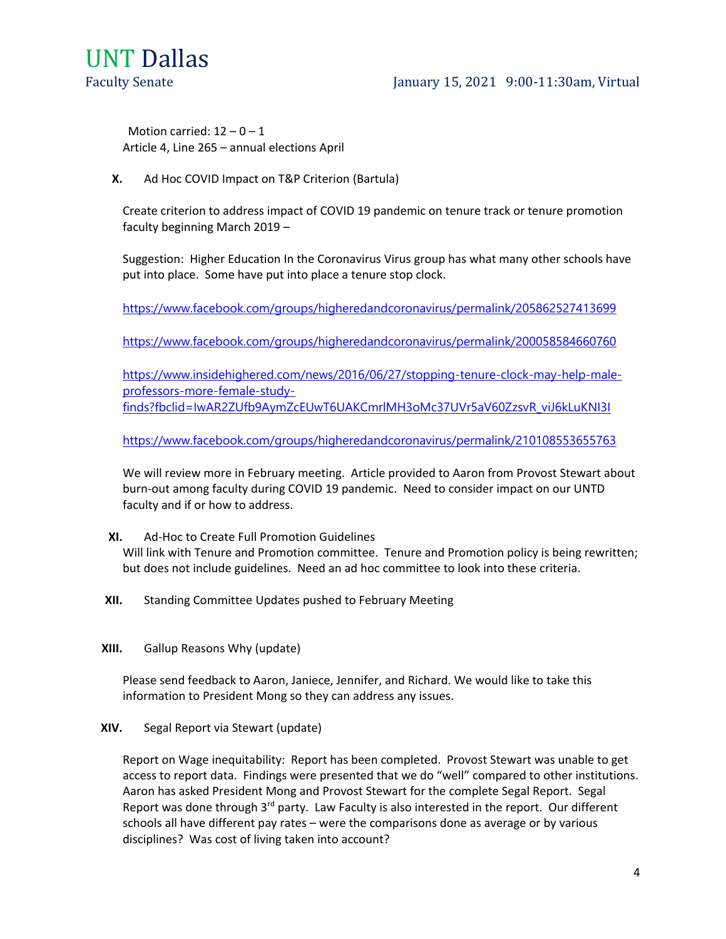

### Faculty Senate January 15, 2021 9:00-11:30am, Virtual

Motion carried:  $12 - 0 - 1$ Article 4, Line 265 – annual elections April

**X.** Ad Hoc COVID Impact on T&P Criterion (Bartula)

Create criterion to address impact of COVID 19 pandemic on tenure track or tenure promotion faculty beginning March 2019 –

Suggestion: Higher Education In the Coronavirus Virus group has what many other schools have put into place. Some have put into place a tenure stop clock.

<https://www.facebook.com/groups/higheredandcoronavirus/permalink/205862527413699>

<https://www.facebook.com/groups/higheredandcoronavirus/permalink/200058584660760>

[https://www.insidehighered.com/news/2016/06/27/stopping-tenure-clock-may-help-male](https://www.insidehighered.com/news/2016/06/27/stopping-tenure-clock-may-help-male-professors-more-female-study-finds?fbclid=IwAR2ZUfb9AymZcEUwT6UAKCmrlMH3oMc37UVr5aV60ZzsvR_viJ6kLuKNI3I)[professors-more-female-study](https://www.insidehighered.com/news/2016/06/27/stopping-tenure-clock-may-help-male-professors-more-female-study-finds?fbclid=IwAR2ZUfb9AymZcEUwT6UAKCmrlMH3oMc37UVr5aV60ZzsvR_viJ6kLuKNI3I)[finds?fbclid=IwAR2ZUfb9AymZcEUwT6UAKCmrlMH3oMc37UVr5aV60ZzsvR\\_viJ6kLuKNI3I](https://www.insidehighered.com/news/2016/06/27/stopping-tenure-clock-may-help-male-professors-more-female-study-finds?fbclid=IwAR2ZUfb9AymZcEUwT6UAKCmrlMH3oMc37UVr5aV60ZzsvR_viJ6kLuKNI3I)

<https://www.facebook.com/groups/higheredandcoronavirus/permalink/210108553655763>

We will review more in February meeting. Article provided to Aaron from Provost Stewart about burn-out among faculty during COVID 19 pandemic. Need to consider impact on our UNTD faculty and if or how to address.

**XI.** Ad-Hoc to Create Full Promotion Guidelines

Will link with Tenure and Promotion committee. Tenure and Promotion policy is being rewritten; but does not include guidelines. Need an ad hoc committee to look into these criteria.

- **XII.** Standing Committee Updates pushed to February Meeting
- **XIII.** Gallup Reasons Why (update)

Please send feedback to Aaron, Janiece, Jennifer, and Richard. We would like to take this information to President Mong so they can address any issues.

**XIV.** Segal Report via Stewart (update)

Report on Wage inequitability: Report has been completed. Provost Stewart was unable to get access to report data. Findings were presented that we do "well" compared to other institutions. Aaron has asked President Mong and Provost Stewart for the complete Segal Report. Segal Report was done through 3<sup>rd</sup> party. Law Faculty is also interested in the report. Our different schools all have different pay rates – were the comparisons done as average or by various disciplines? Was cost of living taken into account?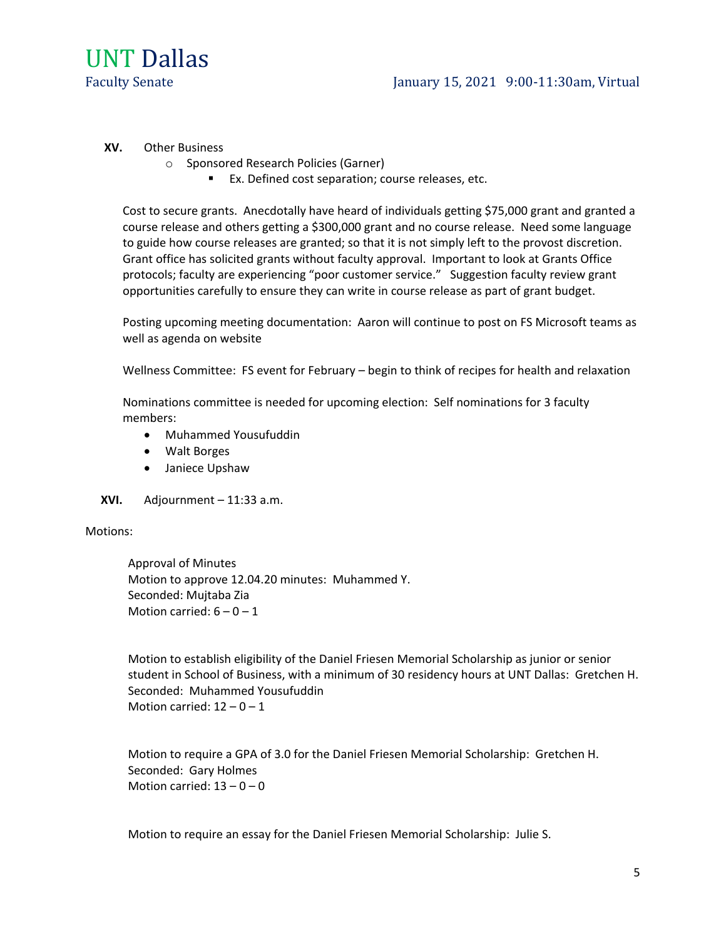

#### **XV.** Other Business

- o Sponsored Research Policies (Garner)
	- Ex. Defined cost separation; course releases, etc.

Cost to secure grants. Anecdotally have heard of individuals getting \$75,000 grant and granted a course release and others getting a \$300,000 grant and no course release. Need some language to guide how course releases are granted; so that it is not simply left to the provost discretion. Grant office has solicited grants without faculty approval. Important to look at Grants Office protocols; faculty are experiencing "poor customer service." Suggestion faculty review grant opportunities carefully to ensure they can write in course release as part of grant budget.

Posting upcoming meeting documentation: Aaron will continue to post on FS Microsoft teams as well as agenda on website

Wellness Committee: FS event for February – begin to think of recipes for health and relaxation

Nominations committee is needed for upcoming election: Self nominations for 3 faculty members:

- Muhammed Yousufuddin
- Walt Borges
- Janiece Upshaw
- **XVI.** Adjournment 11:33 a.m.

#### Motions:

Approval of Minutes Motion to approve 12.04.20 minutes: Muhammed Y. Seconded: Mujtaba Zia Motion carried:  $6 - 0 - 1$ 

Motion to establish eligibility of the Daniel Friesen Memorial Scholarship as junior or senior student in School of Business, with a minimum of 30 residency hours at UNT Dallas: Gretchen H. Seconded: Muhammed Yousufuddin Motion carried:  $12 - 0 - 1$ 

Motion to require a GPA of 3.0 for the Daniel Friesen Memorial Scholarship: Gretchen H. Seconded: Gary Holmes Motion carried:  $13 - 0 - 0$ 

Motion to require an essay for the Daniel Friesen Memorial Scholarship: Julie S.